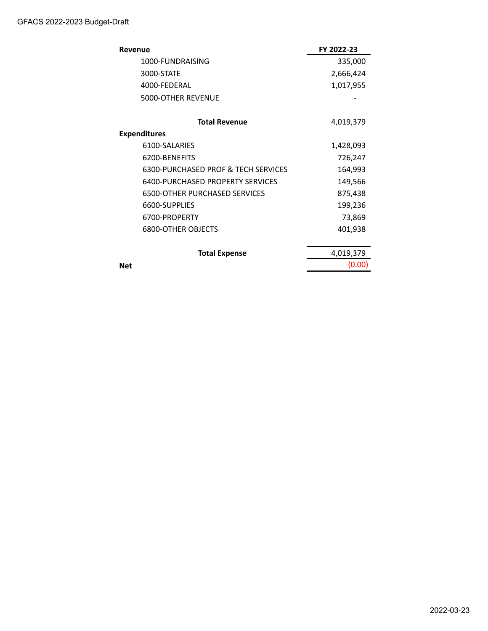| Revenue                              | FY 2022-23 |
|--------------------------------------|------------|
| 1000-FUNDRAISING                     | 335,000    |
| 3000-STATE                           | 2,666,424  |
| 4000-FEDERAL                         | 1,017,955  |
| 5000-OTHER REVENUE                   |            |
| <b>Total Revenue</b>                 | 4,019,379  |
| <b>Expenditures</b>                  |            |
| 6100-SALARIES                        | 1,428,093  |
| 6200-BENEFITS                        | 726,247    |
| 6300-PURCHASED PROF & TECH SERVICES  | 164,993    |
| 6400-PURCHASED PROPERTY SERVICES     | 149,566    |
| <b>6500-OTHER PURCHASED SERVICES</b> | 875,438    |
| 6600-SUPPLIES                        | 199,236    |
| 6700-PROPERTY                        | 73,869     |
| <b>6800-OTHER OBJECTS</b>            | 401,938    |
| <b>Total Expense</b>                 | 4,019,379  |
| <b>Net</b>                           | (0.00)     |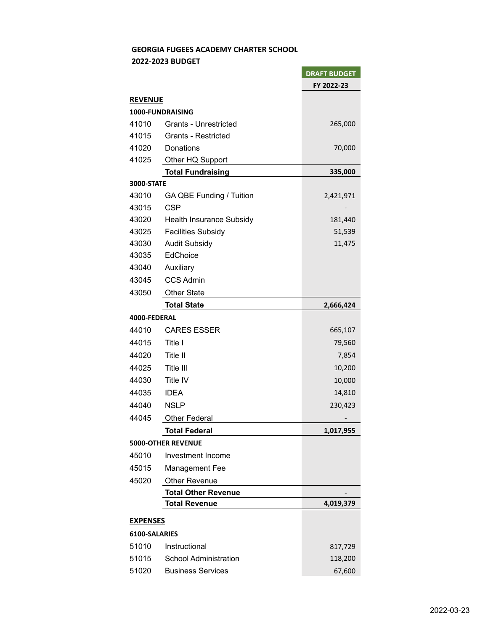## **GEORGIA FUGEES ACADEMY CHARTER SCHOOL**

**Contract Contract Contract Contract** 

 **2022-2023 BUDGET** 

|                   |                              | <b>DRAFT BUDGET</b> |  |  |
|-------------------|------------------------------|---------------------|--|--|
|                   |                              | FY 2022-23          |  |  |
| <b>REVENUE</b>    |                              |                     |  |  |
|                   | 1000-FUNDRAISING             |                     |  |  |
| 41010             | <b>Grants - Unrestricted</b> | 265,000             |  |  |
| 41015             | <b>Grants - Restricted</b>   |                     |  |  |
| 41020             | Donations                    | 70,000              |  |  |
| 41025             | Other HQ Support             |                     |  |  |
|                   | <b>Total Fundraising</b>     | 335,000             |  |  |
| <b>3000-STATE</b> |                              |                     |  |  |
| 43010             | GA QBE Funding / Tuition     | 2,421,971           |  |  |
| 43015             | <b>CSP</b>                   |                     |  |  |
| 43020             | Health Insurance Subsidy     | 181,440             |  |  |
| 43025             | <b>Facilities Subsidy</b>    | 51,539              |  |  |
| 43030             | <b>Audit Subsidy</b>         | 11,475              |  |  |
| 43035             | EdChoice                     |                     |  |  |
| 43040             | Auxiliary                    |                     |  |  |
| 43045             | <b>CCS Admin</b>             |                     |  |  |
| 43050             | <b>Other State</b>           |                     |  |  |
|                   | <b>Total State</b>           | 2,666,424           |  |  |
| 4000-FEDERAL      |                              |                     |  |  |
| 44010             | <b>CARES ESSER</b>           | 665,107             |  |  |
| 44015             | Title I                      | 79,560              |  |  |
| 44020             | Title II                     | 7,854               |  |  |
| 44025             | Title III                    | 10,200              |  |  |
| 44030             | Title IV                     | 10,000              |  |  |
| 44035             | <b>IDEA</b>                  | 14,810              |  |  |
| 44040             | <b>NSLP</b>                  | 230,423             |  |  |
| 44045             | <b>Other Federal</b>         |                     |  |  |
|                   | Total Federal                | 1,017,955           |  |  |
|                   | <b>5000-OTHER REVENUE</b>    |                     |  |  |
| 45010             | Investment Income            |                     |  |  |
| 45015             | <b>Management Fee</b>        |                     |  |  |
| 45020             | <b>Other Revenue</b>         |                     |  |  |
|                   | <b>Total Other Revenue</b>   |                     |  |  |
|                   | <b>Total Revenue</b>         | 4,019,379           |  |  |
| <b>EXPENSES</b>   |                              |                     |  |  |
| 6100-SALARIES     |                              |                     |  |  |
| 51010             | Instructional                | 817,729             |  |  |
| 51015             | <b>School Administration</b> | 118,200             |  |  |
| 51020             | <b>Business Services</b>     | 67,600              |  |  |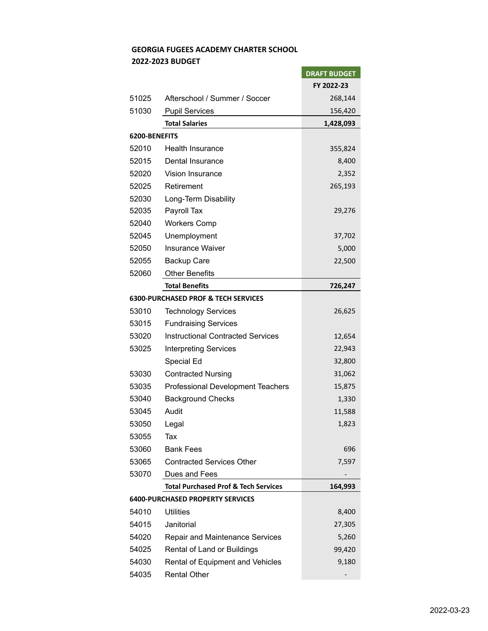## **GEORGIA FUGEES ACADEMY CHARTER SCHOOL**

í

## **2022-2023 BUDGET**

|               |                                                 | <b>DRAFT BUDGET</b> |
|---------------|-------------------------------------------------|---------------------|
|               |                                                 | FY 2022-23          |
| 51025         | Afterschool / Summer / Soccer                   | 268,144             |
| 51030         | <b>Pupil Services</b>                           | 156,420             |
|               | <b>Total Salaries</b>                           | 1,428,093           |
| 6200-BENEFITS |                                                 |                     |
| 52010         | <b>Health Insurance</b>                         | 355,824             |
| 52015         | Dental Insurance                                | 8,400               |
| 52020         | Vision Insurance                                | 2,352               |
| 52025         | Retirement                                      | 265,193             |
| 52030         | Long-Term Disability                            |                     |
| 52035         | Payroll Tax                                     | 29,276              |
| 52040         | <b>Workers Comp</b>                             |                     |
| 52045         | Unemployment                                    | 37,702              |
| 52050         | <b>Insurance Waiver</b>                         | 5,000               |
| 52055         | <b>Backup Care</b>                              | 22,500              |
| 52060         | <b>Other Benefits</b>                           |                     |
|               | <b>Total Benefits</b>                           | 726,247             |
|               | <b>6300-PURCHASED PROF &amp; TECH SERVICES</b>  |                     |
| 53010         | <b>Technology Services</b>                      | 26,625              |
| 53015         | <b>Fundraising Services</b>                     |                     |
| 53020         | <b>Instructional Contracted Services</b>        | 12,654              |
| 53025         | <b>Interpreting Services</b>                    | 22,943              |
|               | Special Ed                                      | 32,800              |
| 53030         | <b>Contracted Nursing</b>                       | 31,062              |
| 53035         | <b>Professional Development Teachers</b>        | 15,875              |
| 53040         | <b>Background Checks</b>                        | 1,330               |
| 53045         | Audit                                           | 11,588              |
| 53050         | Legal                                           | 1,823               |
| 53055         | Tax                                             |                     |
| 53060         | <b>Bank Fees</b>                                | 696                 |
| 53065         | <b>Contracted Services Other</b>                | 7,597               |
| 53070         | Dues and Fees                                   |                     |
|               | <b>Total Purchased Prof &amp; Tech Services</b> | 164,993             |
|               | <b>6400-PURCHASED PROPERTY SERVICES</b>         |                     |
| 54010         | <b>Utilities</b>                                | 8,400               |
| 54015         | Janitorial                                      | 27,305              |
| 54020         | Repair and Maintenance Services                 | 5,260               |
| 54025         | Rental of Land or Buildings                     | 99,420              |
| 54030         | Rental of Equipment and Vehicles                | 9,180               |
| 54035         | <b>Rental Other</b>                             |                     |